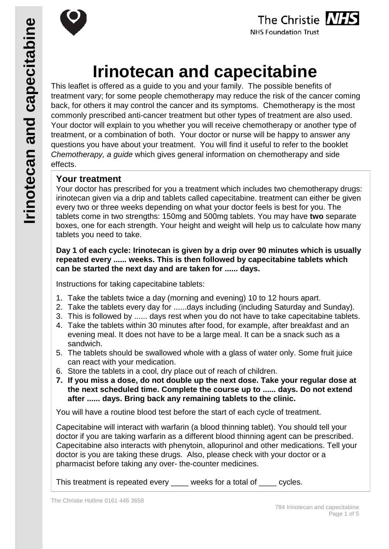



# **Irinotecan and capecitabine**

This leaflet is offered as a guide to you and your family. The possible benefits of treatment vary; for some people chemotherapy may reduce the risk of the cancer coming back, for others it may control the cancer and its symptoms. Chemotherapy is the most commonly prescribed anti-cancer treatment but other types of treatment are also used. Your doctor will explain to you whether you will receive chemotherapy or another type of treatment, or a combination of both. Your doctor or nurse will be happy to answer any questions you have about your treatment. You will find it useful to refer to the booklet *Chemotherapy, a guide* which gives general information on chemotherapy and side effects.

## **Your treatment**

Your doctor has prescribed for you a treatment which includes two chemotherapy drugs: irinotecan given via a drip and tablets called capecitabine. treatment can either be given every two or three weeks depending on what your doctor feels is best for you. The tablets come in two strengths: 150mg and 500mg tablets. You may have **two** separate boxes, one for each strength. Your height and weight will help us to calculate how many tablets you need to take.

#### **Day 1 of each cycle: Irinotecan is given by a drip over 90 minutes which is usually repeated every ...... weeks. This is then followed by capecitabine tablets which can be started the next day and are taken for ...... days.**

Instructions for taking capecitabine tablets:

- 1. Take the tablets twice a day (morning and evening) 10 to 12 hours apart.
- 2. Take the tablets every day for ......days including (including Saturday and Sunday).
- 3. This is followed by ...... days rest when you do not have to take capecitabine tablets.
- 4. Take the tablets within 30 minutes after food, for example, after breakfast and an evening meal. It does not have to be a large meal. It can be a snack such as a sandwich.
- 5. The tablets should be swallowed whole with a glass of water only. Some fruit juice can react with your medication.
- 6. Store the tablets in a cool, dry place out of reach of children.
- **7. If you miss a dose, do not double up the next dose. Take your regular dose at the next scheduled time. Complete the course up to ...... days. Do not extend after ...... days. Bring back any remaining tablets to the clinic.**

You will have a routine blood test before the start of each cycle of treatment.

Capecitabine will interact with warfarin (a blood thinning tablet). You should tell your doctor if you are taking warfarin as a different blood thinning agent can be prescribed. Capecitabine also interacts with phenytoin, allopurinol and other medications. Tell your doctor is you are taking these drugs. Also, please check with your doctor or a pharmacist before taking any over- the-counter medicines.

This treatment is repeated every weeks for a total of cycles.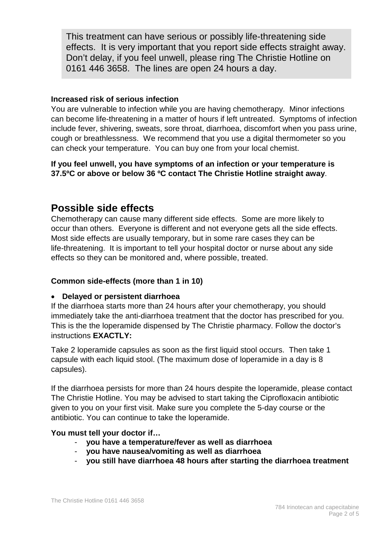This treatment can have serious or possibly life-threatening side effects. It is very important that you report side effects straight away. Don't delay, if you feel unwell, please ring The Christie Hotline on 0161 446 3658. The lines are open 24 hours a day.

#### **Increased risk of serious infection**

You are vulnerable to infection while you are having chemotherapy. Minor infections can become life-threatening in a matter of hours if left untreated. Symptoms of infection include fever, shivering, sweats, sore throat, diarrhoea, discomfort when you pass urine, cough or breathlessness. We recommend that you use a digital thermometer so you can check your temperature. You can buy one from your local chemist.

**If you feel unwell, you have symptoms of an infection or your temperature is 37.5ºC or above or below 36 ºC contact The Christie Hotline straight away**.

## **Possible side effects**

Chemotherapy can cause many different side effects. Some are more likely to occur than others. Everyone is different and not everyone gets all the side effects. Most side effects are usually temporary, but in some rare cases they can be life-threatening. It is important to tell your hospital doctor or nurse about any side effects so they can be monitored and, where possible, treated.

#### **Common side-effects (more than 1 in 10)**

#### • **Delayed or persistent diarrhoea**

If the diarrhoea starts more than 24 hours after your chemotherapy, you should immediately take the anti-diarrhoea treatment that the doctor has prescribed for you. This is the the loperamide dispensed by The Christie pharmacy. Follow the doctor's instructions **EXACTLY:**

Take 2 loperamide capsules as soon as the first liquid stool occurs. Then take 1 capsule with each liquid stool. (The maximum dose of loperamide in a day is 8 capsules).

If the diarrhoea persists for more than 24 hours despite the loperamide, please contact The Christie Hotline. You may be advised to start taking the Ciprofloxacin antibiotic given to you on your first visit. Make sure you complete the 5-day course or the antibiotic. You can continue to take the loperamide.

#### **You must tell your doctor if…**

- **you have a temperature/fever as well as diarrhoea**
- **you have nausea/vomiting as well as diarrhoea**
- **you still have diarrhoea 48 hours after starting the diarrhoea treatment**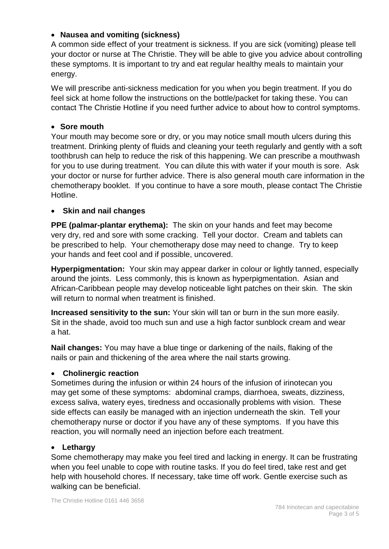#### • **Nausea and vomiting (sickness)**

A common side effect of your treatment is sickness. If you are sick (vomiting) please tell your doctor or nurse at The Christie. They will be able to give you advice about controlling these symptoms. It is important to try and eat regular healthy meals to maintain your energy.

We will prescribe anti-sickness medication for you when you begin treatment. If you do feel sick at home follow the instructions on the bottle/packet for taking these. You can contact The Christie Hotline if you need further advice to about how to control symptoms.

#### • **Sore mouth**

Your mouth may become sore or dry, or you may notice small mouth ulcers during this treatment. Drinking plenty of fluids and cleaning your teeth regularly and gently with a soft toothbrush can help to reduce the risk of this happening. We can prescribe a mouthwash for you to use during treatment. You can dilute this with water if your mouth is sore. Ask your doctor or nurse for further advice. There is also general mouth care information in the chemotherapy booklet. If you continue to have a sore mouth, please contact The Christie Hotline.

#### • **Skin and nail changes**

**PPE (palmar-plantar erythema):** The skin on your hands and feet may become very dry, red and sore with some cracking. Tell your doctor. Cream and tablets can be prescribed to help. Your chemotherapy dose may need to change. Try to keep your hands and feet cool and if possible, uncovered.

**Hyperpigmentation:** Your skin may appear darker in colour or lightly tanned, especially around the joints. Less commonly, this is known as hyperpigmentation. Asian and African-Caribbean people may develop noticeable light patches on their skin. The skin will return to normal when treatment is finished.

**Increased sensitivity to the sun:** Your skin will tan or burn in the sun more easily. Sit in the shade, avoid too much sun and use a high factor sunblock cream and wear a hat.

**Nail changes:** You may have a blue tinge or darkening of the nails, flaking of the nails or pain and thickening of the area where the nail starts growing.

#### • **Cholinergic reaction**

Sometimes during the infusion or within 24 hours of the infusion of irinotecan you may get some of these symptoms: abdominal cramps, diarrhoea, sweats, dizziness, excess saliva, watery eyes, tiredness and occasionally problems with vision. These side effects can easily be managed with an injection underneath the skin. Tell your chemotherapy nurse or doctor if you have any of these symptoms. If you have this reaction, you will normally need an injection before each treatment.

#### • **Lethargy**

Some chemotherapy may make you feel tired and lacking in energy. It can be frustrating when you feel unable to cope with routine tasks. If you do feel tired, take rest and get help with household chores. If necessary, take time off work. Gentle exercise such as walking can be beneficial.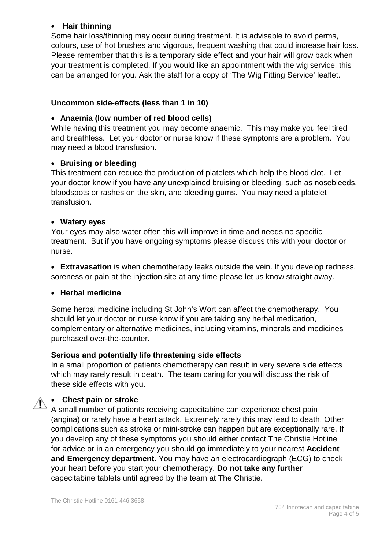#### • **Hair thinning**

Some hair loss/thinning may occur during treatment. It is advisable to avoid perms, colours, use of hot brushes and vigorous, frequent washing that could increase hair loss. Please remember that this is a temporary side effect and your hair will grow back when your treatment is completed. If you would like an appointment with the wig service, this can be arranged for you. Ask the staff for a copy of 'The Wig Fitting Service' leaflet.

#### **Uncommon side-effects (less than 1 in 10)**

#### • **Anaemia (low number of red blood cells)**

While having this treatment you may become anaemic. This may make you feel tired and breathless. Let your doctor or nurse know if these symptoms are a problem. You may need a blood transfusion.

#### • **Bruising or bleeding**

This treatment can reduce the production of platelets which help the blood clot. Let your doctor know if you have any unexplained bruising or bleeding, such as nosebleeds, bloodspots or rashes on the skin, and bleeding gums. You may need a platelet transfusion.

#### • **Watery eyes**

Your eyes may also water often this will improve in time and needs no specific treatment. But if you have ongoing symptoms please discuss this with your doctor or nurse.

• **Extravasation** is when chemotherapy leaks outside the vein. If you develop redness, soreness or pain at the injection site at any time please let us know straight away.

#### • **Herbal medicine**

Some herbal medicine including St John's Wort can affect the chemotherapy. You should let your doctor or nurse know if you are taking any herbal medication, complementary or alternative medicines, including vitamins, minerals and medicines purchased over-the-counter.

#### **Serious and potentially life threatening side effects**

In a small proportion of patients chemotherapy can result in very severe side effects which may rarely result in death. The team caring for you will discuss the risk of these side effects with you.

#### • **Chest pain or stroke**

A small number of patients receiving capecitabine can experience chest pain (angina) or rarely have a heart attack. Extremely rarely this may lead to death. Other complications such as stroke or mini-stroke can happen but are exceptionally rare. If you develop any of these symptoms you should either contact The Christie Hotline for advice or in an emergency you should go immediately to your nearest **Accident and Emergency department**. You may have an electrocardiograph (ECG) to check your heart before you start your chemotherapy. **Do not take any further**  capecitabine tablets until agreed by the team at The Christie.